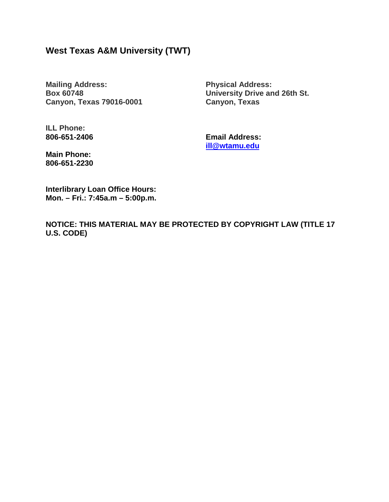# **West Texas A&M University (TWT)**

**Mailing Address: Box 60748 Canyon, Texas 79016-0001**

**Physical Address: University Drive and 26th St. Canyon, Texas**

**ILL Phone: 806-651-2406**

**Main Phone: 806-651-2230**

**Email Address: [ill@wtamu.edu](mailto:ill@wtamu.edu)**

**Interlibrary Loan Office Hours: Mon. – Fri.: 7:45a.m – 5:00p.m.**

**NOTICE: THIS MATERIAL MAY BE PROTECTED BY COPYRIGHT LAW (TITLE 17 U.S. CODE)**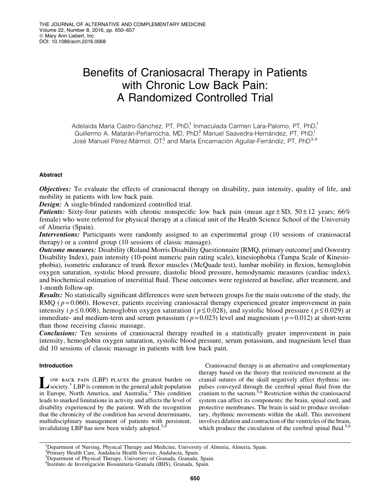# Benefits of Craniosacral Therapy in Patients with Chronic Low Back Pain: A Randomized Controlled Trial

Adelaida María Castro-Sánchez, PT, PhD,<sup>1</sup> Inmaculada Carmen Lara-Palomo, PT, PhD,<sup>1</sup> Guillermo A. Matarán-Peñarrocha, MD, PhD<sup>2</sup>, Manuel Saavedra-Hernández, PT, PhD,<sup>1</sup> José Manuel Pérez-Mármol,  $OT<sup>3</sup>$  and María Encarnación Aguilar-Ferrándiz, PT, PhD $^{3,4}$ 

# Abstract

Objectives: To evaluate the effects of craniosacral therapy on disability, pain intensity, quality of life, and mobility in patients with low back pain.

**Design:** A single-blinded randomized controlled trial.

**Patients:** Sixty-four patients with chronic nonspecific low back pain (mean age  $\pm$  SD, 50 $\pm$  12 years; 66%) female) who were referred for physical therapy at a clinical unit of the Health Science School of the University of Almeria (Spain).

Interventions: Participants were randomly assigned to an experimental group (10 sessions of craniosacral therapy) or a control group (10 sessions of classic massage).

**Outcome measures:** Disability (Roland Morris Disability Questionnaire [RMQ, primary outcome] and Oswestry Disability Index), pain intensity (10-point numeric pain rating scale), kinesiophobia (Tampa Scale of Kinesiophobia), isometric endurance of trunk flexor muscles (McQuade test), lumbar mobility in flexion, hemoglobin oxygen saturation, systolic blood pressure, diastolic blood pressure, hemodynamic measures (cardiac index), and biochemical estimation of interstitial fluid. These outcomes were registered at baseline, after treatment, and 1-month follow-up.

Results: No statistically significant differences were seen between groups for the main outcome of the study, the RMQ ( $p = 0.060$ ). However, patients receiving craniosacral therapy experienced greater improvement in pain intensity ( $p \le 0.008$ ), hemoglobin oxygen saturation ( $p \le 0.028$ ), and systolic blood pressure ( $p \le 0.029$ ) at immediate- and medium-term and serum potassium ( $p=0.023$ ) level and magnesium ( $p=0.012$ ) at short-term than those receiving classic massage.

**Conclusions:** Ten sessions of craniosacral therapy resulted in a statistically greater improvement in pain intensity, hemoglobin oxygen saturation, systolic blood pressure, serum potassium, and magnesium level than did 10 sessions of classic massage in patients with low back pain.

# Introduction

Low BACK PAIN (LBP) PLACES the greatest burden on<br>society.<sup>1</sup> LBP is common in the general adult population in Europe, North America, and Australia.<sup>2</sup> This condition leads to marked limitations in activity and affects the level of disability experienced by the patient. With the recognition that the chronicity of the condition has several determinants, multidisciplinary management of patients with persistent, invalidating LBP has now been widely adopted. $3,4$ 

Craniosacral therapy is an alternative and complementary therapy based on the theory that restricted movement at the cranial sutures of the skull negatively affect rhythmic impulses conveyed through the cerebral spinal fluid from the cranium to the sacrum.5,6 Restriction within the craniosacral system can affect its components: the brain, spinal cord, and protective membranes. The brain is said to produce involuntary, rhythmic movements within the skull. This movement involves dilation and contraction of the ventricles of the brain, which produce the circulation of the cerebral spinal fluid.<sup>5,6</sup>

<sup>&</sup>lt;sup>1</sup>Department of Nursing, Physical Therapy and Medicine, University of Almeria, Almeria, Spain.

<sup>2</sup> Primary Health Care, Andalucia Health Service, Andalucia, Spain.

<sup>&</sup>lt;sup>3</sup>Department of Physical Therapy, University of Granada, Granada, Spain.

<sup>&</sup>lt;sup>4</sup>Instituto de Investigación Biosanitaria Granada (IBIS), Granada, Spain.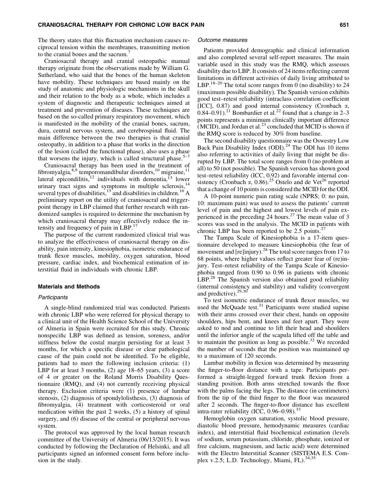The theory states that this fluctuation mechanism causes reciprocal tension within the membranes, transmitting motion to the cranial bones and the sacrum.<sup>7</sup>

Craniosacral therapy and cranial osteopathic manual therapy originate from the observations made by William G. Sutherland, who said that the bones of the human skeleton have mobility. These techniques are based mainly on the study of anatomic and physiologic mechanisms in the skull and their relation to the body as a whole, which includes a system of diagnostic and therapeutic techniques aimed at treatment and prevention of diseases. These techniques are based on the so-called primary respiratory movement, which is manifested in the mobility of the cranial bones, sacrum, dura, central nervous system, and cerebrospinal fluid. The main difference between the two therapies is that cranial osteopathy, in addition to a phase that works in the direction of the lesion (called the functional phase), also uses a phase that worsens the injury, which is called structural phase. $5-7$ 

Craniosacral therapy has been used in the treatment of fibromyalgia,  $8,9$  temporomandibular disorders,  $10$  migraine,  $11$ lateral epicondilitis, $^{12}$  individuals with dementia, $^{13}$  lower urinary tract signs and symptoms in multiple sclerosis,<sup>14</sup> several types of disabilities,<sup>15</sup> and disabilities in children.<sup>16</sup> A preliminary report on the utility of craniosacral and triggerpoint therapy in LBP claimed that further research with randomized samples is required to determine the mechanism by which craniosacral therapy may effectively reduce the intensity and frequency of pain in LBP. $^{17}$ 

The purpose of the current randomized clinical trial was to analyze the effectiveness of craniosacral therapy on disability, pain intensity, kinesiophobia, isometric endurance of trunk flexor muscles, mobility, oxygen saturation, blood pressure, cardiac index, and biochemical estimation of interstitial fluid in individuals with chronic LBP.

#### Materials and Methods

### **Participants**

A single-blind randomized trial was conducted. Patients with chronic LBP who were referred for physical therapy to a clinical unit of the Health Science School of the University of Almeria in Spain were recruited for this study. Chronic nonspecific LBP was defined as tension, soreness, and/or stiffness below the costal margin persisting for at least 3 months, for which a specific disease or clear pathological cause of the pain could not be identified. To be eligible, patients had to meet the following inclusion criteria: (1) LBP for at least 3 months, (2) age 18–65 years, (3) a score of 4 or greater on the Roland Morris Disability Questionnaire (RMQ), and (4) not currently receiving physical therapy. Exclusion criteria were (1) presence of lumbar stenosis, (2) diagnosis of spondylolisthesis, (3) diagnosis of fibromyalgia, (4) treatment with corticosteroid or oral medication within the past 2 weeks, (5) a history of spinal surgery, and (6) disease of the central or peripheral nervous system.

The protocol was approved by the local human research committee of the University of Almeria (06/13/2015). It was conducted by following the Declaration of Helsinki, and all participants signed an informed consent form before inclusion in the study.

#### Outcome measures

Patients provided demographic and clinical information and also completed several self-report measures. The main variable used in this study was the RMQ, which assesses disability due to LBP. It consists of 24 items reflecting current limitations in different activities of daily living attributed to LBP.<sup>18–20</sup> The total score ranges from 0 (no disability) to 24 (maximum possible disability). The Spanish version exhibits good test–retest reliability (intraclass correlation coefficient [ICC], 0.87) and good internal consistency (Cronbach  $\alpha$ , 0.84–0.91).<sup>21</sup> Bombardier et al.<sup>22</sup> found that a change in 2–3 points represents a minimum clinically important difference  $(MCID)$ , and Jordan et al.<sup>23</sup> concluded that MCID is shown if the RMQ score is reduced by 30% from baseline.

The second disability questionnaire was the Oswestry Low Back Pain Disability Index (ODI).<sup>24</sup> The ODI has 10 items also referring to activities of daily living that might be disrupted by LBP. The total score ranges from 0 (no problem at all) to 50 (not possible). The Spanish version has shown good test–retest reliability (ICC, 0.92) and favorable internal consistency (Cronbach  $\alpha$ , 0.86).<sup>25</sup> Ostelo and de Vet<sup>26</sup> reported that a change of 10 points is considered the MCID for the ODI.

A 10-point numeric pain rating scale (NPRS; 0: no pain, 10: maximum pain) was used to assess the patients' current level of pain and the highest and lowest levels of pain experienced in the preceding 24 hours.<sup>27</sup> The mean value of 3 scores was used in the analysis. The MCID in patients with chronic LBP has been reported to be  $2.5$  points.<sup>2</sup>

The Tampa Scale of Kinesiophobia is a 17-item questionnaire developed to measure kinesiophobia (the fear of movement and  $[{\rm relinjury}]$ .<sup>28</sup> The total score ranges from 17 to 68 points, where higher values reflect greater fear of (re)injury. Test–retest reliability of the Tampa Scale of Kinesiophobia ranged from 0.90 to 0.96 in patients with chronic LBP.<sup>28</sup> The Spanish version also obtained good reliability (internal consistency and stability) and validity (convergent and predictive).29,30

To test isometric endurance of trunk flexor muscles, we used the McQuade test. $31$  Participants were studied supine with their arms crossed over their chest, hands on opposite shoulders, hips bent, and knees and feet apart. They were asked to nod and continue to lift their head and shoulders until the inferior angle of the scapula lifted off the table and to maintain the position as long as possible. $32$  We recorded the number of seconds that the position was maintained up to a maximum of 120 seconds.

Lumbar mobility in flexion was determined by measuring the finger-to-floor distance with a tape. Participants performed a straight-legged forward trunk flexion from a standing position. Both arms stretched towards the floor with the palms facing the legs. The distance (in centimeters) from the tip of the third finger to the floor was measured after 2 seconds. The finger-to-floor distance has excellent intra-rater reliability (ICC,  $0.96 - 0.98$ ).<sup>33</sup>

Hemoglobin oxygen saturation, systolic blood pressure, diastolic blood pressure, hemodynamic measures (cardiac index), and interstitial fluid biochemical estimation (levels of sodium, serum potassium, chloride, phosphate, ionized or free calcium, magnesium, and lactic acid) were determined with the Electro Interstitial Scanner (SISTEMA E.S. Complex v.2.5; L.D. Technology, Miami, FL). $^{34,35}$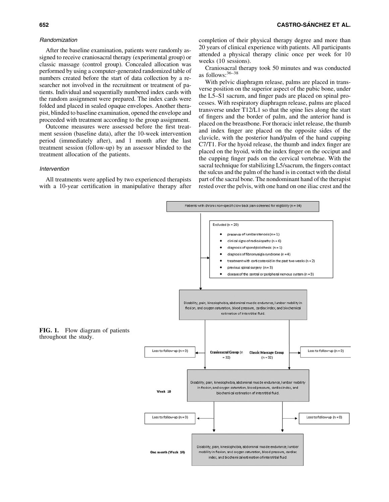#### Randomization

After the baseline examination, patients were randomly assigned to receive craniosacral therapy (experimental group) or classic massage (control group). Concealed allocation was performed by using a computer-generated randomized table of numbers created before the start of data collection by a researcher not involved in the recruitment or treatment of patients. Individual and sequentially numbered index cards with the random assignment were prepared. The index cards were folded and placed in sealed opaque envelopes. Another therapist, blinded to baseline examination, opened the envelope and proceeded with treatment according to the group assignment.

Outcome measures were assessed before the first treatment session (baseline data), after the 10-week intervention period (immediately after), and 1 month after the last treatment session (follow-up) by an assessor blinded to the treatment allocation of the patients.

# Intervention

All treatments were applied by two experienced therapists with a 10-year certification in manipulative therapy after completion of their physical therapy degree and more than 20 years of clinical experience with patients. All participants attended a physical therapy clinic once per week for 10 weeks (10 sessions).

Craniosacral therapy took 50 minutes and was conducted as follows:36–38

With pelvic diaphragm release, palms are placed in transverse position on the superior aspect of the pubic bone, under the L5–S1 sacrum, and finger pads are placed on spinal processes. With respiratory diaphragm release, palms are placed transverse under T12/L1 so that the spine lies along the start of fingers and the border of palm, and the anterior hand is placed on the breastbone. For thoracic inlet release, the thumb and index finger are placed on the opposite sides of the clavicle, with the posterior hand/palm of the hand cupping C7/T1. For the hyoid release, the thumb and index finger are placed on the hyoid, with the index finger on the occiput and the cupping finger pads on the cervical vertebrae. With the sacral technique for stabilizing L5/sacrum, the fingers contact the sulcus and the palm of the hand is in contact with the distal part of the sacral bone. The nondominant hand of the therapist rested over the pelvis, with one hand on one iliac crest and the

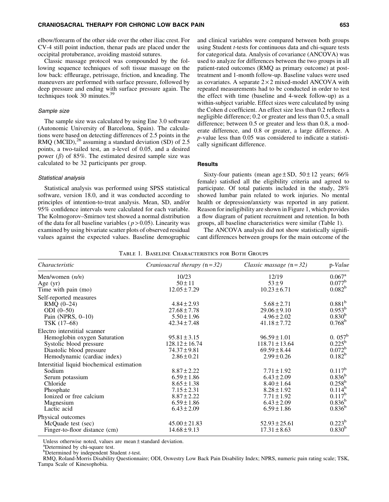elbow/forearm of the other side over the other iliac crest. For CV-4 still point induction, thenar pads are placed under the occipital protuberance, avoiding mastoid sutures.

Classic massage protocol was compounded by the following sequence techniques of soft tissue massage on the low back: effleurage, petrissage, friction, and kneading. The maneuvers are performed with surface pressure, followed by deep pressure and ending with surface pressure again. The techniques took 30 minutes. $39$ 

# Sample size

The sample size was calculated by using Ene 3.0 software (Autonomic University of Barcelona, Spain). The calculations were based on detecting differences of 2.5 points in the RMQ (MCID),<sup>26</sup> assuming a standard deviation (SD) of 2.5 points, a two-tailed test, an  $\alpha$ -level of 0.05, and a desired power  $(\beta)$  of 85%. The estimated desired sample size was calculated to be 32 participants per group.

### Statistical analysis

Statistical analysis was performed using SPSS statistical software, version 18.0, and it was conducted according to principles of intention-to-treat analysis. Mean, SD, and/or 95% confidence intervals were calculated for each variable. The Kolmogorov–Smirnov test showed a normal distribution of the data for all baseline variables ( $p > 0.05$ ). Linearity was examined by using bivariate scatter plots of observed residual values against the expected values. Baseline demographic and clinical variables were compared between both groups using Student *t*-tests for continuous data and chi-square tests for categorical data. Analysis of covariance (ANCOVA) was used to analyze for differences between the two groups in all patient-rated outcomes (RMQ as primary outcome) at posttreatment and 1-month follow-up. Baseline values were used as covariates. A separate  $2 \times 2$  mixed-model ANCOVA with repeated measurements had to be conducted in order to test the effect with time (baseline and 4-week follow-up) as a within-subject variable. Effect sizes were calculated by using the Cohen d coefficient. An effect size less than 0.2 reflects a negligible difference; 0.2 or greater and less than 0.5, a small difference; between 0.5 or greater and less than 0.8, a moderate difference, and 0.8 or greater, a large difference. A *p*-value less than 0.05 was considered to indicate a statistically significant difference.

# **Results**

Sixty-four patients (mean age  $\pm$  SD, 50 $\pm$  12 years; 66% female) satisfied all the eligibility criteria and agreed to participate. Of total patients included in the study, 28% showed lumbar pain related to work injuries. No mental health or depression/anxiety was reported in any patient. Reason for ineligibility are shown in Figure 1, which provides a flow diagram of patient recruitment and retention. In both groups, all baseline characteristics were similar (Table 1).

The ANCOVA analysis did not show statistically significant differences between groups for the main outcome of the

| Characteristic                             | Craniosacral therapy $(n=32)$ | Classic massage $(n=32)$ | p-Value            |
|--------------------------------------------|-------------------------------|--------------------------|--------------------|
| Men/women $(n/n)$                          | 10/23                         | 12/19                    | $0.067^{\rm a}$    |
| Age $(yr)$                                 | $50 \pm 11$                   | $53\pm9$                 | $0.077^{\rm b}$    |
| Time with pain (mo)                        | $12.05 \pm 7.29$              | $10.23 \pm 6.71$         | $0.082^{\rm b}$    |
| Self-reported measures                     |                               |                          |                    |
| RMQ (0-24)                                 | $4.84 \pm 2.93$               | $5.68 \pm 2.71$          | 0.881 <sup>b</sup> |
| $ODI (0-50)$                               | $27.68 \pm 7.78$              | $29.06 \pm 9.10$         | $0.953^{\rm b}$    |
| Pain (NPRS, $0-10$ )                       | $5.50 \pm 1.96$               | $4.96 \pm 2.02$          | $0.830^{b}$        |
| TSK (17–68)                                | $42.34 \pm 7.48$              | $41.18 \pm 7.72$         | $0.768^{\rm b}$    |
| Electro interstitial scanner               |                               |                          |                    |
| Hemoglobin oxygen Saturation               | $95.81 \pm 3.15$              | $96.59 \pm 1.01$         | $0.057^b$          |
| Systolic blood pressure                    | $128.12 \pm 16.74$            | $118.71 \pm 13.64$       | $0.225^b$          |
| Diastolic blood pressure                   | $74.37 \pm 9.81$              | $69.59 \pm 8.44$         | $0.072^{\rm b}$    |
| Hemodynamic (cardiac index)                | $2.86 \pm 0.21$               | $2.99 \pm 0.26$          | $0.182^{b}$        |
| Interstitial liquid biochemical estimation |                               |                          |                    |
| Sodium                                     | $8.87 \pm 2.22$               | $7.71 \pm 1.92$          | $0.117^b$          |
| Serum potassium                            | $6.59 \pm 1.86$               | $6.43 \pm 2.09$          | $0.836^{b}$        |
| Chloride                                   | $8.65 \pm 1.38$               | $8.40 \pm 1.64$          | $0.258^{\rm b}$    |
| Phosphate                                  | $7.15 \pm 2.31$               | $8.28 \pm 1.92$          | $0.114^{b}$        |
| Ionized or free calcium                    | $8.87 \pm 2.22$               | $7.71 \pm 1.92$          | $0.117^{\rm b}$    |
| Magnesium                                  | $6.59 \pm 1.86$               | $6.43 \pm 2.09$          | $0.836^{b}$        |
| Lactic acid                                | $6.43 \pm 2.09$               | $6.59 \pm 1.86$          | $0.836^{b}$        |
| Physical outcomes                          |                               |                          |                    |
| McQuade test (sec)                         | $45.00 \pm 21.83$             | $52.93 \pm 25.61$        | $0.223^{\rm b}$    |
| Finger-to-floor distance (cm)              | $14.68 \pm 9.13$              | $17.31 \pm 8.63$         | 0.830 <sup>b</sup> |

Table 1. Baseline Characteristics for Both Groups

Unless otherwise noted, values are mean  $\pm$  standard deviation.

Determined by chi-square test.

b Determined by independent Student *t*-test.

RMQ, Roland-Morris Disability Questionnaire; ODI, Oswestry Low Back Pain Disability Index; NPRS, numeric pain rating scale; TSK, Tampa Scale of Kinesophobia.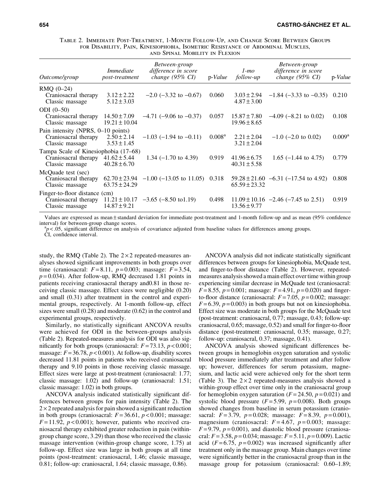| TABLE 2. IMMEDIATE POST-TREATMENT, 1-MONTH FOLLOW-UP, AND CHANGE SCORE BETWEEN GROUPS |  |
|---------------------------------------------------------------------------------------|--|
| FOR DISABILITY, PAIN, KINESIOPHOBIA, ISOMETRIC RESISTANCE OF ABDOMINAL MUSCLES.       |  |
| and Spinal Mobility in Flexion                                                        |  |

| Outcome/group                                                                   | <i>Immediate</i><br>post-treatment     | Between-group<br>difference in score<br>change $(95\% \text{ CI})$ | p-Value         | $1-mo$<br>follow-up                  | Between-group<br>difference in score<br>change $(95\% \text{ CI})$ | p-Value            |
|---------------------------------------------------------------------------------|----------------------------------------|--------------------------------------------------------------------|-----------------|--------------------------------------|--------------------------------------------------------------------|--------------------|
| $RMO (0-24)$                                                                    |                                        |                                                                    |                 |                                      |                                                                    |                    |
| Craniosacral therapy<br>Classic massage                                         | $3.12 \pm 2.22$<br>$5.12 \pm 3.03$     | $-2.0$ ( $-3.32$ to $-0.67$ )                                      | 0.060           | $3.03 \pm 2.94$<br>$4.87 \pm 3.00$   | $-1.84$ ( $-3.33$ to $-0.35$ )                                     | 0.210              |
| $ODI (0-50)$<br>Craniosacral therapy<br>Classic massage                         | $14.50 \pm 7.09$<br>$19.21 \pm 10.04$  | $-4.71$ ( $-9.06$ to $-0.37$ )                                     | 0.057           | $15.87 \pm 7.80$<br>$19.96 \pm 8.65$ | $-4.09$ $(-8.21$ to 0.02)                                          | 0.108              |
| Pain intensity (NPRS, 0–10 points)<br>Craniosacral therapy<br>Classic massage   | $2.50 \pm 2.14$<br>$3.53 \pm 1.45$     | $-1.03$ ( $-1.94$ to $-0.11$ )                                     | $0.008^{\rm a}$ | $2.21 \pm 2.04$<br>$3.21 \pm 2.04$   | $-1.0$ (-2.0 to 0.02)                                              | 0.009 <sup>a</sup> |
| Tampa Scale of Kinesiophobia (17–68)<br>Craniosacral therapy<br>Classic massage | $41.62 \pm 5.44$<br>$40.28 \pm 6.70$   | 1.34 $(-1.70 \text{ to } 4.39)$                                    | 0.919           | $41.96 \pm 6.75$<br>$40.31 \pm 5.58$ | 1.65 $(-1.44 \text{ to } 4.75)$                                    | 0.779              |
| McQuade test (sec)<br>Craniosacral therapy<br>Classic massage                   | $62.70 \pm 23.94$<br>$63.75 \pm 24.29$ | $-1.00$ ( $-13.05$ to 11.05)                                       | 0.318           | $65.59 \pm 23.32$                    | $59.28 \pm 21.60$ -6.31 (-17.54 to 4.92)                           | 0.808              |
| Finger-to-floor distance (cm)<br>Craniosacral therapy<br>Classic massage        | $11.21 \pm 10.17$<br>$14.87 \pm 9.21$  | $-3.65$ $(-8.50 \text{ to } 1.19)$                                 | 0.498           | $13.56 \pm 9.77$                     | $11.09 \pm 10.16$ -2.46 (-7.45 to 2.51)                            | 0.919              |

Values are expressed as mean – standard deviation for immediate post-treatment and 1-month follow-up and as mean (95% confidence interval) for between-group change scores.

 $p < 0.05$ , significant difference on analysis of covariance adjusted from baseline values for differences among groups.

CI, confidence interval.

study, the RMQ (Table 2). The  $2 \times 2$  repeated-measures analyses showed significant improvements in both groups over time (craniosacral: *F* = 8.11, *p* = 0.003; massage: *F* = 3.54,  $p = 0.034$ ). After follow-up, RMQ decreased 1.81 points in patients receiving craniosacral therapy and0.81 in those receiving classic massage. Effect sizes were negligible (0.20) and small (0.31) after treatment in the control and experimental groups, respectively. At 1-month follow-up, effect sizes were small (0.28) and moderate (0.62) in the control and experimental groups, respectively.

Similarly, no statistically significant ANCOVA results were achieved for ODI in the between-groups analysis (Table 2). Repeated-measures analysis for ODI was also significantly for both groups (craniosacral:  $F = 73.13$ ,  $p < 0.001$ ; massage:  $F = 36.78$ ,  $p < 0.001$ ). At follow-up, disability scores decreased 11.81 points in patients who received craniosacral therapy and 9.10 points in those receiving classic massage. Effect sizes were large at post-treatment (craniosacral: 1.77; classic massage: 1.02) and follow-up (craniosacral: 1.51; classic massage: 1.02) in both groups.

ANCOVA analysis indicated statistically significant differences between groups for pain intensity (Table 2). The  $2 \times 2$  repeated analysis for pain showed a significant reduction in both groups (craniosacral:  $F = 36.61$ ,  $p < 0.001$ ; massage:  $F = 11.92$ ,  $p < 0.001$ ); however, patients who received craniosacral therapy exhibited greater reduction in pain (withingroup change score, 3.29) than those who received the classic massage intervention (within-group change score, 1.75) at follow-up. Effect size was large in both groups at all time points (post-treatment: craniosacral, 1.46; classic massage, 0.81; follow-up: craniosacral, 1.64; classic massage, 0.86).

ANCOVA analysis did not indicate statistically significant differences between groups for kinesiophobia, McQuade test, and finger-to-floor distance (Table 2). However, repeatedmeasures analysis showed a main effect over time within group experiencing similar decrease in McQuade test (craniosacral:  $F = 8.55$ ,  $p = 0.001$ ; massage:  $F = 4.91$ ,  $p = 0.020$ ) and fingerto-floor distance (craniosacral:  $F = 7.05$ ,  $p = 0.002$ ; massage:  $F = 6.39$ ,  $p = 0.003$ ) in both groups but not on kinesiophobia. Effect size was moderate in both groups for the McQuade test (post-treatment: craniosacral, 0.77; massage, 0.43; follow-up: craniosacral, 0.65; massage, 0.52) and small for finger-to-floor distance (post-treatment: craniosacral, 0.35; massage, 0.27; follow-up: craniosacral, 0.37; massage, 0.41).

ANCOVA analysis showed significant differences between groups in hemoglobin oxygen saturation and systolic blood pressure immediately after treatment and after follow up; however, differences for serum potassium, magnesium, and lactic acid were achieved only for the short term (Table 3). The  $2 \times 2$  repeated-measures analysis showed a within-group effect over time only in the craniosacral group for hemoglobin oxygen saturation  $(F = 24.50, p = 0.021)$  and systolic blood pressure  $(F=5.99, p=0.008)$ . Both groups showed changes from baseline in serum potassium (craniosacral: *F* = 3.79, *p* = 0.028; massage: *F* = 8.39, *p* = 0.001), magnesium (craniosacral: *F* = 4.67, *p* = 0.003; massage:  $F = 9.79$ ,  $p = 0.001$ ), and diastolic blood pressure (craniosacral: *F* = 3.58, *p* = 0.034; massage: *F* = 5.11, *p* = 0.009). Lactic acid  $(F=6.75, p=0.002)$  was increased significantly after treatment only in the massage group. Main changes over time were significantly better in the craniosacral group than in the massage group for potassium (craniosacral: 0.60–1.89;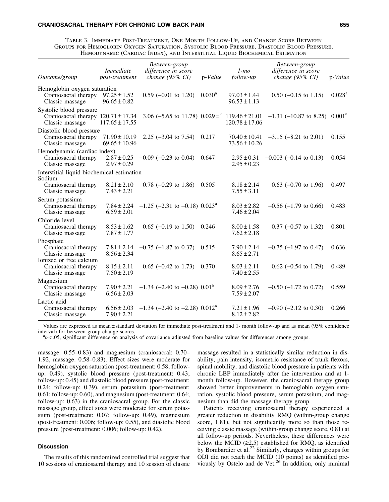### CRANIOSACRAL THERAPY FOR CHRONIC LOW BACK PAIN 655

Table 3. Immediate Post-Treatment, One Month Follow-Up, and Change Score Between Groups for Hemoglobin Oxygen Saturation, Systolic Blood Pressure, Diastolic Blood Pressure, Hemodynamic (Cardiac Index), and Interstitial Liquid Biochemical Estimation

| Outcome/group                                                                         | <i>Immediate</i><br>post-treatment     | Between-group<br>difference in score<br>change $(95\% \text{ CI})$ | p-Value         | $1-mO$<br>follow-up                    | Between-group<br>difference in score<br>change (95% CI) | p-Value         |
|---------------------------------------------------------------------------------------|----------------------------------------|--------------------------------------------------------------------|-----------------|----------------------------------------|---------------------------------------------------------|-----------------|
| Hemoglobin oxygen saturation<br>Craniosacral therapy<br>Classic massage               | $97.25 \pm 1.52$<br>$96.65 \pm 0.82$   | $0.59$ (-0.01 to 1.20)                                             | $0.030^{\rm a}$ | $97.03 \pm 1.44$<br>$96.53 \pm 1.13$   | $0.50$ (-0.15 to 1.15)                                  | $0.028^{\rm a}$ |
| Systolic blood pressure<br>Craniosacral therapy $120.71 \pm 17.34$<br>Classic massage | $117.65 \pm 17.55$                     | 3.06 (-5.65 to 11.78) $0.029 = a$ 119.46 ± 21.01                   |                 | $120.78 \pm 17.06$                     | $-1.31$ (-10.87 to 8.25)                                | $0.001^{\rm a}$ |
| Diastolic blood pressure<br>Craniosacral therapy<br>Classic massage                   | $71.90 \pm 10.19$<br>$69.65 \pm 10.96$ | 2.25 $(-3.04 \text{ to } 7.54)$                                    | 0.217           | $70.40 \pm 10.41$<br>$73.56 \pm 10.26$ | $-3.15$ ( $-8.21$ to 2.01)                              | 0.155           |
| Hemodynamic (cardiac index)<br>Craniosacral therapy<br>Classic massage                | $2.87 \pm 0.25$<br>$2.97 \pm 0.29$     | $-0.09$ ( $-0.23$ to 0.04)                                         | 0.647           | $2.95 \pm 0.31$<br>$2.95 \pm 0.23$     | $-0.003$ ( $-0.14$ to 0.13)                             | 0.054           |
| Interstitial liquid biochemical estimation                                            |                                        |                                                                    |                 |                                        |                                                         |                 |
| Sodium<br>Craniosacral therapy<br>Classic massage                                     | $8.21 \pm 2.10$<br>$7.43 \pm 2.21$     | $0.78$ (-0.29 to 1.86)                                             | 0.505           | $8.18 \pm 2.14$<br>$7.55 \pm 3.11$     | $0.63$ (-0.70 to 1.96)                                  | 0.497           |
| Serum potassium<br>Craniosacral therapy<br>Classic massage                            | $7.84 \pm 2.24$<br>$6.59 \pm 2.01$     | $-1.25$ (-2.31 to -0.18) 0.023 <sup>a</sup>                        |                 | $8.03 \pm 2.82$<br>$7.46 \pm 2.04$     | $-0.56$ ( $-1.79$ to 0.66)                              | 0.483           |
| Chloride level<br>Craniosacral therapy<br>Classic massage                             | $8.53 \pm 1.62$<br>$7.87 \pm 1.77$     | $0.65$ (-0.19 to 1.50)                                             | 0.246           | $8.00 \pm 1.58$<br>$7.62 \pm 2.18$     | $0.37$ (-0.57 to 1.32)                                  | 0.801           |
| Phosphate<br>Craniosacral therapy<br>Classic massage                                  | $7.81 \pm 2.14$<br>$8.56 \pm 2.34$     | $-0.75$ ( $-1.87$ to 0.37)                                         | 0.515           | $7.90 \pm 2.14$<br>$8.65 \pm 2.71$     | $-0.75$ ( $-1.97$ to 0.47)                              | 0.636           |
| Ionized or free calcium<br>Craniosacral therapy<br>Classic massage                    | $8.15 \pm 2.11$<br>$7.50 \pm 2.19$     | $0.65$ (-0.42 to 1.73)                                             | 0.370           | $8.03 \pm 2.11$<br>$7.40 \pm 2.55$     | $0.62$ (-0.54 to 1.79)                                  | 0.489           |
| Magnesium<br>Craniosacral therapy<br>Classic massage                                  | $7.90 \pm 2.21$<br>$6.56 \pm 2.03$     | $-1.34$ (-2.40 to -0.28) 0.01 <sup>a</sup>                         |                 | $8.09 \pm 2.76$<br>$7.59 \pm 2.07$     | $-0.50$ ( $-1.72$ to 0.72)                              | 0.559           |
| Lactic acid<br>Craniosacral therapy<br>Classic massage                                | $6.56 \pm 2.03$<br>$7.90 \pm 2.21$     | $-1.34$ (-2.40 to -2.28) 0.012 <sup>a</sup>                        |                 | $7.21 \pm 1.96$<br>$8.12 \pm 2.82$     | $-0.90$ ( $-2.12$ to 0.30)                              | 0.266           |

Values are expressed as mean ± standard deviation for immediate post-treatment and 1- month follow-up and as mean (95% confidence interval) for between-group change scores.

 $^{a}p$  < .05, significant difference on analysis of covariance adjusted from baseline values for differences among groups.

massage: 0.55–0.83) and magnesium (craniosacral: 0.70– 1.92, massage: 0.58–0.83). Effect sizes were moderate for hemoglobin oxygen saturation (post-treatment: 0.58; followup: 0.49), systolic blood pressure (post-treatment: 0.43; follow-up: 0.45) and diastolic blood pressure (post-treatment: 0.24; follow-up: 0.39), serum potassium (post-treatment: 0.61; follow-up: 0.60), and magnesium (post-treatment: 0.64; follow-up: 0.63) in the craniosacral group. For the classic massage group, effect sizes were moderate for serum potassium (post-treatment: 0.07; follow-up: 0.49), magnesium (post-treatment: 0.006; follow-up: 0.55), and diastolic blood pressure (post-treatment: 0.006; follow-up: 0.42).

# Discussion

The results of this randomized controlled trial suggest that 10 sessions of craniosacral therapy and 10 session of classic

massage resulted in a statistically similar reduction in disability, pain intensity, isometric resistance of trunk flexors, spinal mobility, and diastolic blood pressure in patients with chronic LBP immediately after the intervention and at 1 month follow-up. However, the craniosacral therapy group showed better improvements in hemoglobin oxygen saturation, systolic blood pressure, serum potassium, and magnesium than did the massage therapy group.

Patients receiving craniosacral therapy experienced a greater reduction in disability RMQ (within-group change score, 1.81), but not significantly more so than those receiving classic massage (within-group change score, 0.81) at all follow-up periods. Nevertheless, these differences were below the MCID ( $\geq$ 2.5) established for RMQ, as identified by Bombardier et al.<sup>22</sup> Similarly, changes within groups for ODI did not reach the MCID (10 points) as identified previously by Ostelo and de Vet. $^{26}$  In addition, only minimal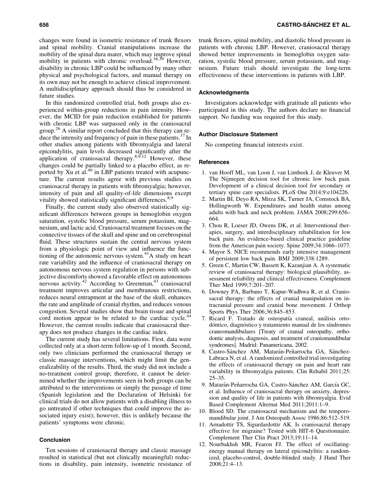changes were found in isometric resistance of trunk flexors and spinal mobility. Cranial manipulations increase the mobility of the spinal dura mater, which may improve spinal mobility in patients with chronic overload.38,39 However, disability in chronic LBP could be influenced by many other physical and psychological factors, and manual therapy on its own may not be enough to achieve clinical improvement. A multidisciplinary approach should thus be considered in future studies.

In this randomized controlled trial, both groups also experienced within-group reductions in pain intensity. However, the MCID for pain reduction established for patients with chronic LBP was surpassed only in the craniosacral group.<sup>26</sup> A similar report concluded that this therapy can reduce the intensity and frequency of pain in these patients.<sup>17</sup> In other studies among patients with fibromyalgia and lateral epicondylitis, pain levels decreased significantly after the application of craniosacral therapy. $8,9,12$  However, these changes could be partially linked to a placebo effect, as reported by Xu et  $a\hat{l}^{40}$  in LBP patients treated with acupuncture. The current results agree with previous studies on craniosacral therapy in patients with fibromyalgia; however, intensity of pain and all quality-of-life dimensions except vitality showed statistically significant differences.<sup>8,9</sup>

Finally, the current study also observed statistically significant differences between groups in hemoglobin oxygen saturation, systolic blood pressure, serum potassium, magnesium, and lactic acid. Craniosacral treatment focuses on the connective tissues of the skull and spine and on cerebrospinal fluid. These structures sustain the central nervous system from a physiologic point of view and influence the functioning of the autonomic nervous system. $^{41}A$  study on heart rate variability and the influence of craniosacral therapy on autonomous nervous system regulation in persons with subjective discomforts showed a favorable effect on autonomous nervous activity. $42$  According to Greenman, $43$  craniosacral treatment improves articular and membranous restrictions, reduces neural entrapment at the base of the skull, enhances the rate and amplitude of cranial rhythm, and reduces venous congestion. Several studies show that brain tissue and spinal cord motion appear to be related to the cardiac cycle.<sup>44</sup> However, the current results indicate that craniosacral therapy does not produce changes in the cardiac index.

The current study has several limitations. First, data were collected only at a short-term follow-up of 1 month. Second, only two clinicians performed the craniosacral therapy or classic massage interventions, which might limit the generalizability of the results. Third, the study did not include a no-treatment control group; therefore, it cannot be determined whether the improvements seen in both groups can be attributed to the interventions or simply the passage of time (Spanish legislation and the Declaration of Helsinki for clinical trials do not allow patients with a disabling illness to go untreated if other techniques that could improve the associated injury exist); however, this is unlikely because the patients' symptoms were chronic.

# Conclusion

Ten sessions of craniosacral therapy and classic massage resulted in statistical (but not clinically meaningful) reductions in disability, pain intensity, isometric resistance of trunk flexors, spinal mobility, and diastolic blood pressure in patients with chronic LBP. However, craniosacral therapy showed better improvements in hemoglobin oxygen saturation, systolic blood pressure, serum potassium, and magnesium. Future trials should investigate the long-term effectiveness of these interventions in patients with LBP.

# Acknowledgments

Investigators acknowledge with gratitude all patients who participated in this study. The authors declare no financial support. No funding was required for this study.

# Author Disclosure Statement

No competing financial interests exist.

# **References**

- 1. van Hooff ML, van Loon J, van Limbeek J, de Kleuver M. The Nijmegen decision tool for chronic low back pain. Development of a clinical decision tool for secondary or tertiary spine care specialists. PLoS One 2014;9:e104226.
- 2. Martin BI, Deyo RA, Mirza SK, Turner JA, Comstock BA, Hollingworth W. Expenditures and health status among adults with back and neck problem. JAMA 2008;299:656– 664.
- 3. Chou R, Loeser JD, Owens DK, et al. Interventional therapies, surgery, and interdisciplinary rehabilitation for low back pain. An evidence-based clinical practice guideline from the American pain society. Spine 2009;34:1066–1077.
- 4. Mayor S. NICE recommends early intensive management of persistent low back pain. BMJ 2009;338:1289.
- 5. Green C, Martin CW, Bassett K, Kazanjian A. A systematic review of craniosacral therapy: biological plausibility, assessment reliability and clinical effectiveness. Complement Ther Med 1999;7:201–207.
- 6. Downey PA, Barbano T, Kapur-Wadhwa R, et al. Craniosacral therapy: the effects of cranial manipulation on intracranial pressure and cranial bone movement. J Orthop Sports Phys Ther 2006;36:845–853.
- 7. Ricard F. Tratado de osteopatía craneal, análisis ortodóntico, diagnóstico y tratamiento manual de los síndromes craneomandibulares [Treaty of cranial osteopathy, orthodontic analysis, diagnosis, and treatment of craniomandibular syndromes]. Madrid: Panamericana, 2002.
- 8. Castro-Sánchez AM, Matarán-Peñarrocha GA, Sánchez-Labraca N, et al. A randomized controlled trial investigating the effects of craniosacral therapy on pain and heart rate variability in fibromyalgia patients. Clin Rehabil 2011;25: 25–35.
- 9. Matarán-Peñarrocha GA, Castro-Sánchez AM, García GC, et al. Influence of craniosacral therapy on anxiety, depression and quality of life in patients with fibromyalgia. Evid Based Complement Alternat Med 2011;2011:1–9.
- 10. Blood SD. The craniosacral mechanism and the temporomandibular joint. J Am Osteopath Assoc 1986;86:512–519.
- 11. Arnadottir TS, Sigurdardottir AK. Is craniosacral therapy effective for migraine? Tested with HIT-6 Questionnaire. Complement Ther Clin Pract 2013;19:11–14.
- 12. Nourbakhsh MR, Fearon FJ. The effect of oscillatingenergy manual therapy on lateral epicondylitis: a randomized, placebo-control, double-blinded study. J Hand Ther 2008;21:4–13.